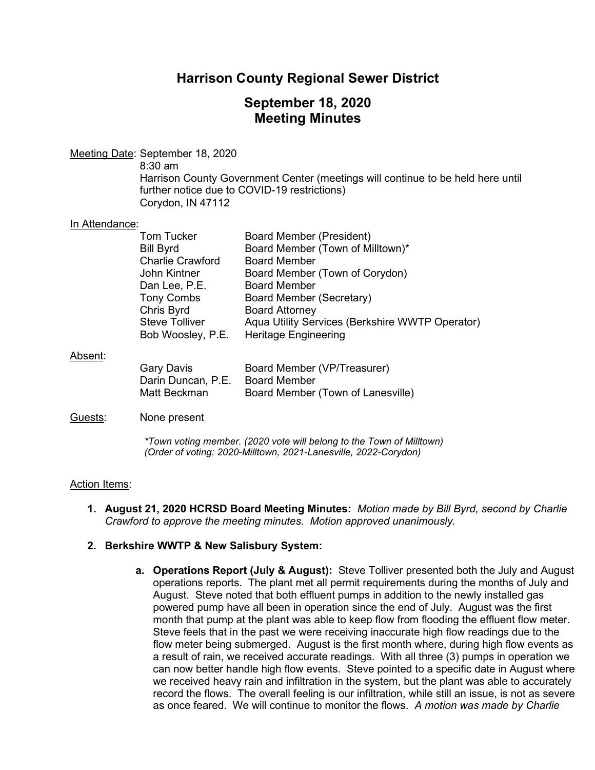## **Harrison County Regional Sewer District**

## **September 18, 2020 Meeting Minutes**

Meeting Date: September 18, 2020

8:30 am

Harrison County Government Center (meetings will continue to be held here until further notice due to COVID-19 restrictions) Corydon, IN 47112

#### In Attendance:

|         | <b>Tom Tucker</b>       | Board Member (President)                        |
|---------|-------------------------|-------------------------------------------------|
|         | <b>Bill Byrd</b>        | Board Member (Town of Milltown)*                |
|         | <b>Charlie Crawford</b> | <b>Board Member</b>                             |
|         | John Kintner            | Board Member (Town of Corydon)                  |
|         | Dan Lee, P.E.           | <b>Board Member</b>                             |
|         | <b>Tony Combs</b>       | Board Member (Secretary)                        |
|         | Chris Byrd              | <b>Board Attorney</b>                           |
|         | <b>Steve Tolliver</b>   | Aqua Utility Services (Berkshire WWTP Operator) |
|         | Bob Woosley, P.E.       | <b>Heritage Engineering</b>                     |
| Absent: |                         |                                                 |
|         | Garv Davis              | <b>Board Member (VP/Treasurer)</b>              |

| <b>Gary Davis</b>               | Board Member (VP/Treasurer)       |
|---------------------------------|-----------------------------------|
| Darin Duncan, P.E. Board Member |                                   |
| Matt Beckman                    | Board Member (Town of Lanesville) |

### Guests: None present

*\*Town voting member. (2020 vote will belong to the Town of Milltown) (Order of voting: 2020-Milltown, 2021-Lanesville, 2022-Corydon)* 

### Action Items:

**1. August 21, 2020 HCRSD Board Meeting Minutes:** *Motion made by Bill Byrd, second by Charlie Crawford to approve the meeting minutes. Motion approved unanimously.*

### **2. Berkshire WWTP & New Salisbury System:**

**a. Operations Report (July & August):** Steve Tolliver presented both the July and August operations reports. The plant met all permit requirements during the months of July and August. Steve noted that both effluent pumps in addition to the newly installed gas powered pump have all been in operation since the end of July. August was the first month that pump at the plant was able to keep flow from flooding the effluent flow meter. Steve feels that in the past we were receiving inaccurate high flow readings due to the flow meter being submerged. August is the first month where, during high flow events as a result of rain, we received accurate readings. With all three (3) pumps in operation we can now better handle high flow events. Steve pointed to a specific date in August where we received heavy rain and infiltration in the system, but the plant was able to accurately record the flows. The overall feeling is our infiltration, while still an issue, is not as severe as once feared. We will continue to monitor the flows. *A motion was made by Charlie*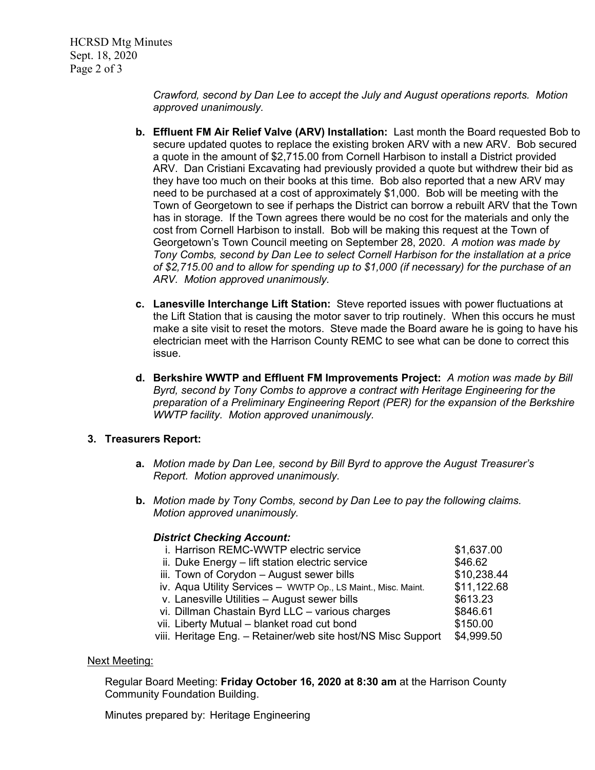HCRSD Mtg Minutes Sept. 18, 2020 Page 2 of 3

> *Crawford, second by Dan Lee to accept the July and August operations reports. Motion approved unanimously.*

- **b. Effluent FM Air Relief Valve (ARV) Installation:** Last month the Board requested Bob to secure updated quotes to replace the existing broken ARV with a new ARV. Bob secured a quote in the amount of \$2,715.00 from Cornell Harbison to install a District provided ARV. Dan Cristiani Excavating had previously provided a quote but withdrew their bid as they have too much on their books at this time. Bob also reported that a new ARV may need to be purchased at a cost of approximately \$1,000. Bob will be meeting with the Town of Georgetown to see if perhaps the District can borrow a rebuilt ARV that the Town has in storage. If the Town agrees there would be no cost for the materials and only the cost from Cornell Harbison to install. Bob will be making this request at the Town of Georgetown's Town Council meeting on September 28, 2020. *A motion was made by Tony Combs, second by Dan Lee to select Cornell Harbison for the installation at a price of \$2,715.00 and to allow for spending up to \$1,000 (if necessary) for the purchase of an ARV. Motion approved unanimously.*
- **c. Lanesville Interchange Lift Station:** Steve reported issues with power fluctuations at the Lift Station that is causing the motor saver to trip routinely. When this occurs he must make a site visit to reset the motors. Steve made the Board aware he is going to have his electrician meet with the Harrison County REMC to see what can be done to correct this issue.
- **d. Berkshire WWTP and Effluent FM Improvements Project:** *A motion was made by Bill Byrd, second by Tony Combs to approve a contract with Heritage Engineering for the preparation of a Preliminary Engineering Report (PER) for the expansion of the Berkshire WWTP facility. Motion approved unanimously.*

### **3. Treasurers Report:**

- **a.** *Motion made by Dan Lee, second by Bill Byrd to approve the August Treasurer's Report. Motion approved unanimously.*
- **b.** *Motion made by Tony Combs, second by Dan Lee to pay the following claims. Motion approved unanimously.*

### *District Checking Account:*

| i. Harrison REMC-WWTP electric service                        | \$1,637.00  |
|---------------------------------------------------------------|-------------|
| ii. Duke Energy - lift station electric service               | \$46.62     |
| iii. Town of Corydon - August sewer bills                     | \$10,238.44 |
| iv. Aqua Utility Services - WWTP Op., LS Maint., Misc. Maint. | \$11,122.68 |
| v. Lanesville Utilities - August sewer bills                  | \$613.23    |
| vi. Dillman Chastain Byrd LLC - various charges               | \$846.61    |
| vii. Liberty Mutual - blanket road cut bond                   | \$150.00    |
| viii. Heritage Eng. – Retainer/web site host/NS Misc Support  | \$4,999.50  |
|                                                               |             |

#### Next Meeting:

Regular Board Meeting: **Friday October 16, 2020 at 8:30 am** at the Harrison County Community Foundation Building.

Minutes prepared by: Heritage Engineering